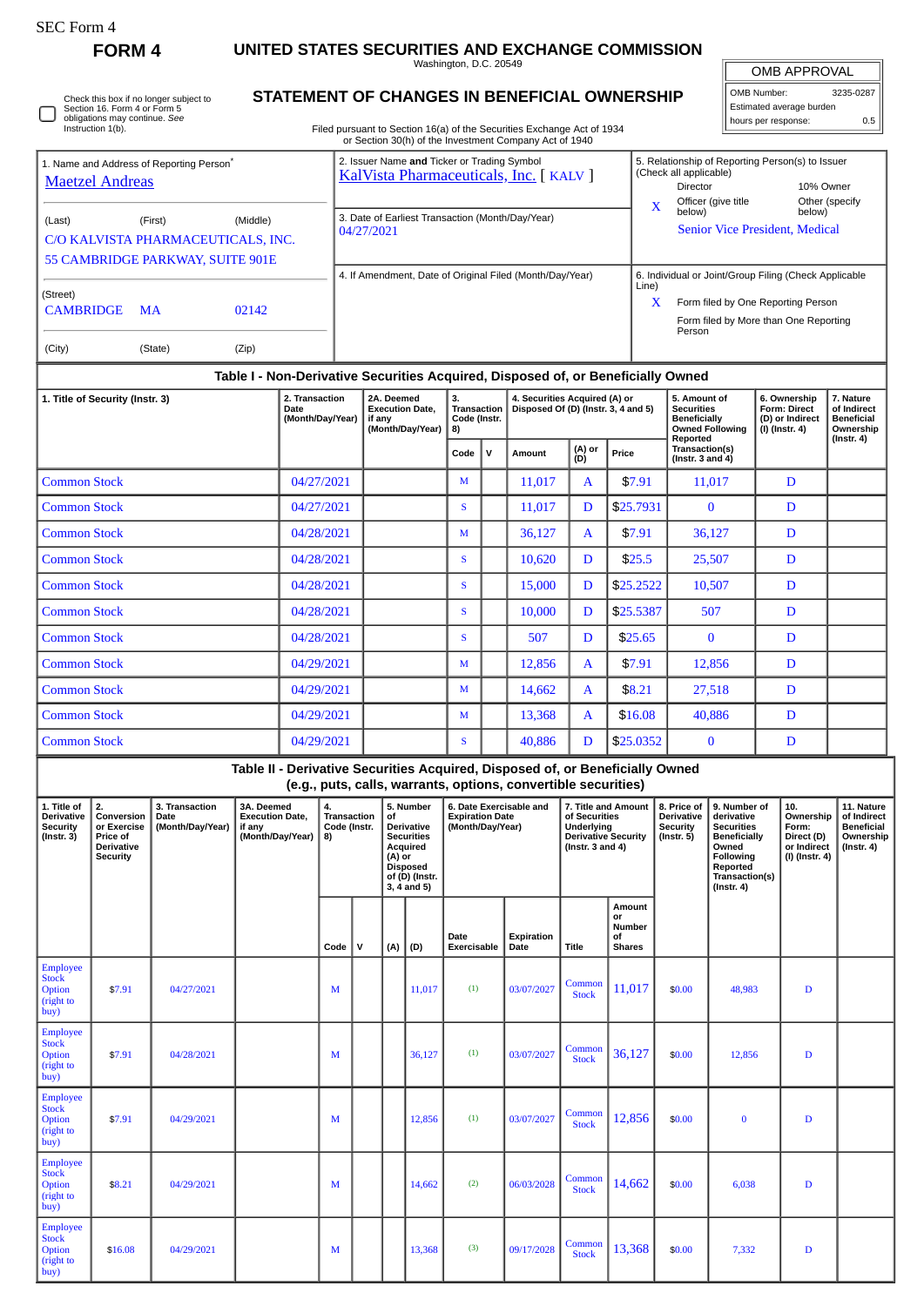| rorm |
|------|
|------|

Employee Stock Option (right to buy)

Employee Stock Option (right to buy)

**FORM 4 UNITED STATES SECURITIES AND EXCHANGE COMMISSION** Washington, D.C. 20549

 $\sqrt{2}$ OMB APPROVAL

 $\begin{array}{|c|c|c|c|c|c|} \hline \text{Common} & 14,662 & $0.00 & $6,038 & D \ \hline \end{array}$ 

 $\begin{array}{|c|c|c|c|c|c|c|c|} \hline \text{Common} & 13,368 & $0.00 & 7,332 & D \ \hline \end{array}$ 

| OMB Number:<br>3235-0287 |     |  |  |  |  |  |  |  |  |
|--------------------------|-----|--|--|--|--|--|--|--|--|
| Estimated average burden |     |  |  |  |  |  |  |  |  |
| hours per response:      | 0.5 |  |  |  |  |  |  |  |  |

Check this box if no longer subject to Section 16. Form 4 or Form 5 obligations may continue. *See* Instruction 1(b). ∩

## **STATEMENT OF CHANGES IN BENEFICIAL OWNERSHIP**

Filed pursuant to Section 16(a) of the Securities Exchange Act of 1934 or Section 30(h) of the Investment Company Act of 1940

| 1. Name and Address of Reporting Person <sup>®</sup><br><b>Maetzel Andreas</b>                                                                          |        |                                                           |                                                                    |                                                                |                                                                    | 2. Issuer Name and Ticker or Trading Symbol<br>KalVista Pharmaceuticals, Inc. [ KALV ] |                                                                                                                                           |                                                |                                                                       |                                                                      |                                                                                                                                                 |                                                                                                          |                                                                                           | 5. Relationship of Reporting Person(s) to Issuer<br>(Check all applicable)<br>Director<br>10% Owner<br>Officer (give title<br>Other (specify |                                                                                                                                                |   |                                                                            |                                                                                 |  |  |
|---------------------------------------------------------------------------------------------------------------------------------------------------------|--------|-----------------------------------------------------------|--------------------------------------------------------------------|----------------------------------------------------------------|--------------------------------------------------------------------|----------------------------------------------------------------------------------------|-------------------------------------------------------------------------------------------------------------------------------------------|------------------------------------------------|-----------------------------------------------------------------------|----------------------------------------------------------------------|-------------------------------------------------------------------------------------------------------------------------------------------------|----------------------------------------------------------------------------------------------------------|-------------------------------------------------------------------------------------------|----------------------------------------------------------------------------------------------------------------------------------------------|------------------------------------------------------------------------------------------------------------------------------------------------|---|----------------------------------------------------------------------------|---------------------------------------------------------------------------------|--|--|
| (Last)                                                                                                                                                  |        | (First)<br>(Middle)<br>C/O KALVISTA PHARMACEUTICALS, INC. |                                                                    | 3. Date of Earliest Transaction (Month/Day/Year)<br>04/27/2021 |                                                                    |                                                                                        |                                                                                                                                           |                                                |                                                                       |                                                                      |                                                                                                                                                 | X<br>below)<br>below)<br><b>Senior Vice President, Medical</b>                                           |                                                                                           |                                                                                                                                              |                                                                                                                                                |   |                                                                            |                                                                                 |  |  |
| 55 CAMBRIDGE PARKWAY, SUITE 901E                                                                                                                        |        |                                                           |                                                                    |                                                                |                                                                    | 4. If Amendment, Date of Original Filed (Month/Day/Year)                               |                                                                                                                                           |                                                |                                                                       |                                                                      |                                                                                                                                                 |                                                                                                          |                                                                                           | 6. Individual or Joint/Group Filing (Check Applicable                                                                                        |                                                                                                                                                |   |                                                                            |                                                                                 |  |  |
| (Street)<br><b>CAMBRIDGE</b>                                                                                                                            |        | <b>MA</b>                                                 | 02142                                                              |                                                                |                                                                    |                                                                                        |                                                                                                                                           |                                                |                                                                       |                                                                      |                                                                                                                                                 |                                                                                                          | Line)<br>Form filed by One Reporting Person<br>X<br>Form filed by More than One Reporting |                                                                                                                                              |                                                                                                                                                |   |                                                                            |                                                                                 |  |  |
| (City)                                                                                                                                                  |        | (State)                                                   | (Zip)                                                              |                                                                |                                                                    |                                                                                        |                                                                                                                                           |                                                |                                                                       |                                                                      |                                                                                                                                                 |                                                                                                          |                                                                                           |                                                                                                                                              | Person                                                                                                                                         |   |                                                                            |                                                                                 |  |  |
|                                                                                                                                                         |        |                                                           |                                                                    |                                                                |                                                                    |                                                                                        |                                                                                                                                           |                                                |                                                                       |                                                                      | Table I - Non-Derivative Securities Acquired, Disposed of, or Beneficially Owned                                                                |                                                                                                          |                                                                                           |                                                                                                                                              |                                                                                                                                                |   |                                                                            |                                                                                 |  |  |
| 1. Title of Security (Instr. 3)                                                                                                                         |        |                                                           | 2. Transaction<br>Date<br>(Month/Day/Year)                         |                                                                | 2A. Deemed<br><b>Execution Date,</b><br>if any<br>(Month/Day/Year) |                                                                                        |                                                                                                                                           | 3.<br><b>Transaction</b><br>Code (Instr.<br>8) |                                                                       | 4. Securities Acquired (A) or<br>Disposed Of (D) (Instr. 3, 4 and 5) |                                                                                                                                                 |                                                                                                          | 5. Amount of<br><b>Securities</b><br><b>Beneficially</b><br><b>Owned Following</b>        |                                                                                                                                              | 6. Ownership<br>Form: Direct<br>(D) or Indirect<br>(I) (Instr. 4)                                                                              |   | 7. Nature<br>of Indirect<br><b>Beneficial</b><br>Ownership                 |                                                                                 |  |  |
|                                                                                                                                                         |        |                                                           |                                                                    |                                                                |                                                                    |                                                                                        |                                                                                                                                           |                                                | Code                                                                  | $\mathbf v$                                                          | <b>Amount</b>                                                                                                                                   | (A) or<br>(D)                                                                                            | Price                                                                                     |                                                                                                                                              | Reported<br>Transaction(s)<br>(Instr. $3$ and $4$ )                                                                                            |   |                                                                            | (Instr. 4)                                                                      |  |  |
| <b>Common Stock</b>                                                                                                                                     |        |                                                           |                                                                    | 04/27/2021                                                     |                                                                    |                                                                                        |                                                                                                                                           |                                                | M                                                                     |                                                                      | 11,017                                                                                                                                          | A                                                                                                        | \$7.91                                                                                    |                                                                                                                                              | 11,017                                                                                                                                         |   | D                                                                          |                                                                                 |  |  |
| <b>Common Stock</b>                                                                                                                                     |        |                                                           |                                                                    |                                                                | 04/27/2021                                                         |                                                                                        |                                                                                                                                           |                                                | S                                                                     |                                                                      | 11,017                                                                                                                                          | D                                                                                                        | \$25.7931                                                                                 |                                                                                                                                              | $\bf{0}$                                                                                                                                       |   | D                                                                          |                                                                                 |  |  |
| <b>Common Stock</b>                                                                                                                                     |        |                                                           |                                                                    | 04/28/2021                                                     |                                                                    |                                                                                        |                                                                                                                                           |                                                |                                                                       | 36,127                                                               | A                                                                                                                                               | \$7.91                                                                                                   |                                                                                           | 36,127                                                                                                                                       |                                                                                                                                                | D |                                                                            |                                                                                 |  |  |
| <b>Common Stock</b>                                                                                                                                     |        |                                                           |                                                                    | 04/28/2021                                                     |                                                                    |                                                                                        |                                                                                                                                           |                                                |                                                                       | 10,620                                                               | D                                                                                                                                               | \$25.5                                                                                                   |                                                                                           | 25,507                                                                                                                                       |                                                                                                                                                | D |                                                                            |                                                                                 |  |  |
| <b>Common Stock</b>                                                                                                                                     |        |                                                           | 04/28/2021                                                         |                                                                |                                                                    |                                                                                        | ${\bf S}$                                                                                                                                 |                                                | 15,000                                                                | D                                                                    |                                                                                                                                                 | \$25.2522<br>10,507                                                                                      |                                                                                           |                                                                                                                                              | D                                                                                                                                              |   |                                                                            |                                                                                 |  |  |
| <b>Common Stock</b>                                                                                                                                     |        |                                                           |                                                                    |                                                                | 04/28/2021                                                         |                                                                                        |                                                                                                                                           |                                                | S                                                                     |                                                                      | 10,000                                                                                                                                          | D                                                                                                        | \$25.5387                                                                                 |                                                                                                                                              | 507                                                                                                                                            |   |                                                                            |                                                                                 |  |  |
| <b>Common Stock</b>                                                                                                                                     |        |                                                           |                                                                    |                                                                | 04/28/2021                                                         |                                                                                        |                                                                                                                                           |                                                |                                                                       |                                                                      | 507                                                                                                                                             | D                                                                                                        | \$25.65                                                                                   |                                                                                                                                              | $\bf{0}$                                                                                                                                       |   | D                                                                          |                                                                                 |  |  |
| <b>Common Stock</b>                                                                                                                                     |        |                                                           | 04/29/2021                                                         |                                                                |                                                                    |                                                                                        |                                                                                                                                           | M                                              |                                                                       | 12,856                                                               | A                                                                                                                                               | \$7.91                                                                                                   |                                                                                           | 12,856                                                                                                                                       |                                                                                                                                                |   |                                                                            |                                                                                 |  |  |
| <b>Common Stock</b>                                                                                                                                     |        |                                                           |                                                                    | 04/29/2021                                                     |                                                                    |                                                                                        |                                                                                                                                           |                                                | M                                                                     |                                                                      | 14,662                                                                                                                                          | A                                                                                                        | \$8.21                                                                                    |                                                                                                                                              | 27,518                                                                                                                                         |   | D                                                                          |                                                                                 |  |  |
| <b>Common Stock</b><br>04/29/2021                                                                                                                       |        |                                                           |                                                                    |                                                                |                                                                    |                                                                                        |                                                                                                                                           | M                                              |                                                                       | 13,368                                                               | A                                                                                                                                               | \$16.08                                                                                                  |                                                                                           | 40,886                                                                                                                                       |                                                                                                                                                |   |                                                                            |                                                                                 |  |  |
| 04/29/2021<br><b>Common Stock</b>                                                                                                                       |        |                                                           |                                                                    |                                                                |                                                                    |                                                                                        | S                                                                                                                                         |                                                | 40,886                                                                | D                                                                    | \$25.0352                                                                                                                                       |                                                                                                          | $\bf{0}$                                                                                  |                                                                                                                                              | D                                                                                                                                              |   |                                                                            |                                                                                 |  |  |
|                                                                                                                                                         |        |                                                           |                                                                    |                                                                |                                                                    |                                                                                        |                                                                                                                                           |                                                |                                                                       |                                                                      | Table II - Derivative Securities Acquired, Disposed of, or Beneficially Owned<br>(e.g., puts, calls, warrants, options, convertible securities) |                                                                                                          |                                                                                           |                                                                                                                                              |                                                                                                                                                |   |                                                                            |                                                                                 |  |  |
| 2.<br>1. Title of<br>Derivative<br>Conversion<br><b>Security</b><br>or Exercise<br>$($ Instr. 3 $)$<br>Price of<br><b>Derivative</b><br><b>Security</b> |        | 3. Transaction<br>Date<br>(Month/Day/Year)                | 3A. Deemed<br><b>Execution Date,</b><br>if any<br>(Month/Day/Year) |                                                                | 4.<br>Transaction<br>Code (Instr.<br>8)                            |                                                                                        | 5. Number<br>οf<br><b>Derivative</b><br><b>Securities</b><br>Acquired<br>$(A)$ or<br><b>Disposed</b><br>of (D) (Instr.<br>$3, 4$ and $5)$ |                                                | 6. Date Exercisable and<br><b>Expiration Date</b><br>(Month/Day/Year) |                                                                      |                                                                                                                                                 | 7. Title and Amount<br>of Securities<br>Underlying<br><b>Derivative Security</b><br>( $lnstr. 3 and 4$ ) |                                                                                           | 8. Price of<br>Derivative<br><b>Security</b><br>(Instr. 5)                                                                                   | 9. Number of<br>derivative<br><b>Securities</b><br><b>Beneficially</b><br>Owned<br>Following<br>Reported<br>Transaction(s)<br>$($ Instr. 4 $)$ |   | 10.<br>Ownership<br>Form:<br>Direct (D)<br>or Indirect<br>$(I)$ (Instr. 4) | 11. Nature<br>of Indirect<br><b>Beneficial</b><br>Ownership<br>$($ lnstr. 4 $)$ |  |  |
|                                                                                                                                                         |        |                                                           |                                                                    |                                                                |                                                                    | v                                                                                      | (A)                                                                                                                                       | (D)                                            | Date<br>Exercisable                                                   |                                                                      | <b>Expiration</b><br>Date                                                                                                                       | <b>Title</b>                                                                                             | Amount<br>or<br>Number<br>οf<br><b>Shares</b>                                             |                                                                                                                                              |                                                                                                                                                |   |                                                                            |                                                                                 |  |  |
| <b>Employee</b><br><b>Stock</b><br>Option<br>(right to<br>buy)                                                                                          | \$7.91 | 04/27/2021                                                |                                                                    |                                                                | М                                                                  |                                                                                        |                                                                                                                                           | 11,017                                         | (1)                                                                   |                                                                      | 03/07/2027                                                                                                                                      | Common<br><b>Stock</b>                                                                                   | 11,017                                                                                    | \$0.00                                                                                                                                       | 48,983                                                                                                                                         |   | $\mathbf D$                                                                |                                                                                 |  |  |
| <b>Employee</b><br><b>Stock</b><br>Option<br>(right to<br>buy)                                                                                          | \$7.91 | 04/28/2021                                                |                                                                    |                                                                | М                                                                  |                                                                                        |                                                                                                                                           | 36,127                                         | (1)                                                                   |                                                                      | 03/07/2027                                                                                                                                      | Common<br><b>Stock</b>                                                                                   | 36,127                                                                                    | \$0.00                                                                                                                                       | 12,856                                                                                                                                         |   | $\mathbf D$                                                                |                                                                                 |  |  |
| <b>Employee</b><br><b>Stock</b><br><b>Option</b><br>(right to<br>buy)                                                                                   | \$7.91 | 04/29/2021                                                |                                                                    |                                                                | M                                                                  |                                                                                        |                                                                                                                                           | 12,856                                         | (1)                                                                   |                                                                      | 03/07/2027                                                                                                                                      | Common<br><b>Stock</b>                                                                                   | 12,856                                                                                    | \$0.00                                                                                                                                       | $\bf{0}$                                                                                                                                       |   | $\mathbf D$                                                                |                                                                                 |  |  |

\$8.21 04/29/2021 <sup>M</sup> 14,662 (2) 06/03/2028 Common

\$16.08 04/29/2021 <sup>M</sup> 13,368 (3) 09/17/2028 Common